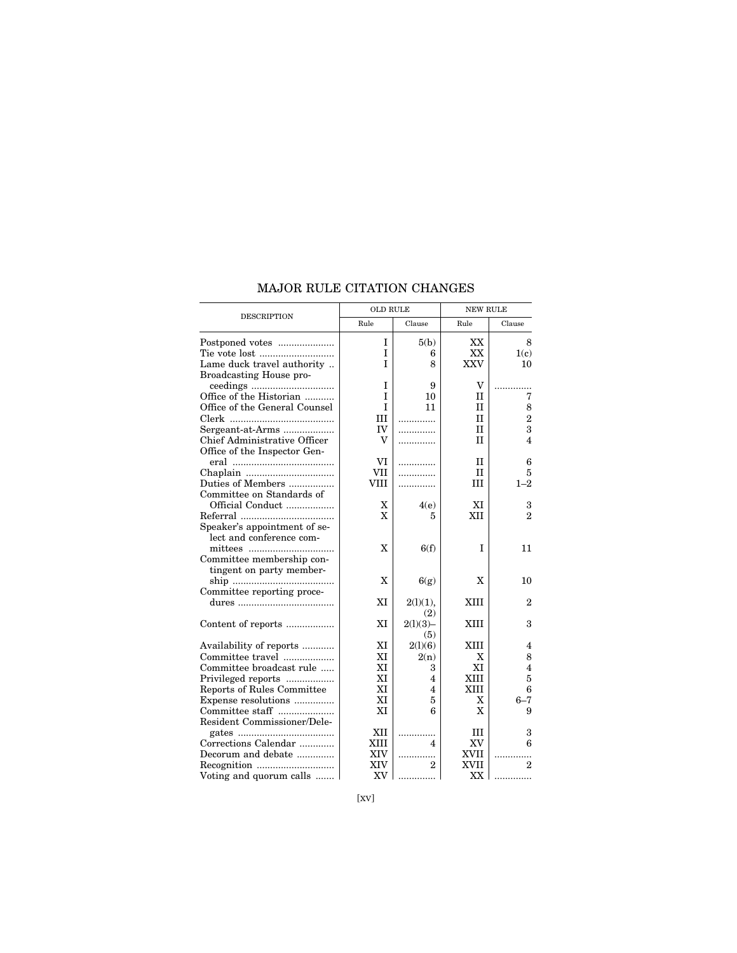|                               | <b>OLD RULE</b> |              | <b>NEW RULE</b> |                |
|-------------------------------|-----------------|--------------|-----------------|----------------|
| <b>DESCRIPTION</b>            | Rule            | Clause       | Rule            | Clause         |
| Postponed votes               | I               | 5(b)         | XX              | 8              |
|                               | T               | 6            | XX              | 1(c)           |
| Lame duck travel authority    | T               | 8            | <b>XXV</b>      | 10             |
| Broadcasting House pro-       |                 |              |                 |                |
|                               | I               | 9            | V               |                |
| Office of the Historian       | I               | 10           | П               | 7              |
| Office of the General Counsel | T               | 11           | $_{\rm II}$     | 8              |
|                               | Ш               | .            | $_{\rm II}$     | $\overline{2}$ |
| Sergeant-at-Arms              | IV              | .            | $\mathbf{I}$    | 3              |
| Chief Administrative Officer  | v               | .            | II              | 4              |
| Office of the Inspector Gen-  |                 |              |                 |                |
|                               | VI              | .            | П               | 6              |
|                               | VII             | .            | $_{\rm II}$     | 5              |
| Duties of Members             | <b>VIII</b>     | .            | <b>III</b>      | $1 - 2$        |
| Committee on Standards of     |                 |              |                 |                |
| Official Conduct              | X               | 4(e)         | XI              | 3              |
|                               | X               | 5            | XII             | $\overline{2}$ |
| Speaker's appointment of se-  |                 |              |                 |                |
| lect and conference com-      |                 |              |                 |                |
| mittees                       | X               | 6(f)         | I               | 11             |
| Committee membership con-     |                 |              |                 |                |
| tingent on party member-      |                 |              |                 |                |
|                               | X               | 6(g)         | X               | 10             |
| Committee reporting proce-    |                 |              |                 |                |
|                               | XI              | $2(1)(1)$ ,  | XIII            | 2              |
|                               |                 | (2)          |                 |                |
| Content of reports            | XI              | $2(1)(3) -$  | XIII            | 3              |
|                               |                 | (5)          |                 |                |
| Availability of reports       | ХI              | 2(1)(6)      | XIII            | 4              |
| Committee travel              | XI              | 2(n)         | X               | 8              |
| Committee broadcast rule      | XI              | 3            | ХI              | 4              |
| Privileged reports            | XI              | 4            | XIII            | 5              |
| Reports of Rules Committee    | XI              | 4            | <b>XIII</b>     | 6              |
| Expense resolutions           | XI              | 5            | X               | $6 - 7$        |
| Committee staff               | XI              | 6            | X               | 9              |
| Resident Commissioner/Dele-   |                 |              |                 |                |
|                               | XII             | .            | Ш               | 3              |
| Corrections Calendar          | XIII            | 4            | XV              | 6              |
| Decorum and debate            | <b>XIV</b>      | . <b>.</b> . | XVII            | .              |
|                               | XIV             | 2            | XVII            | 2              |
| Voting and quorum calls       | XV              |              | XX              |                |

## MAJOR RULE CITATION CHANGES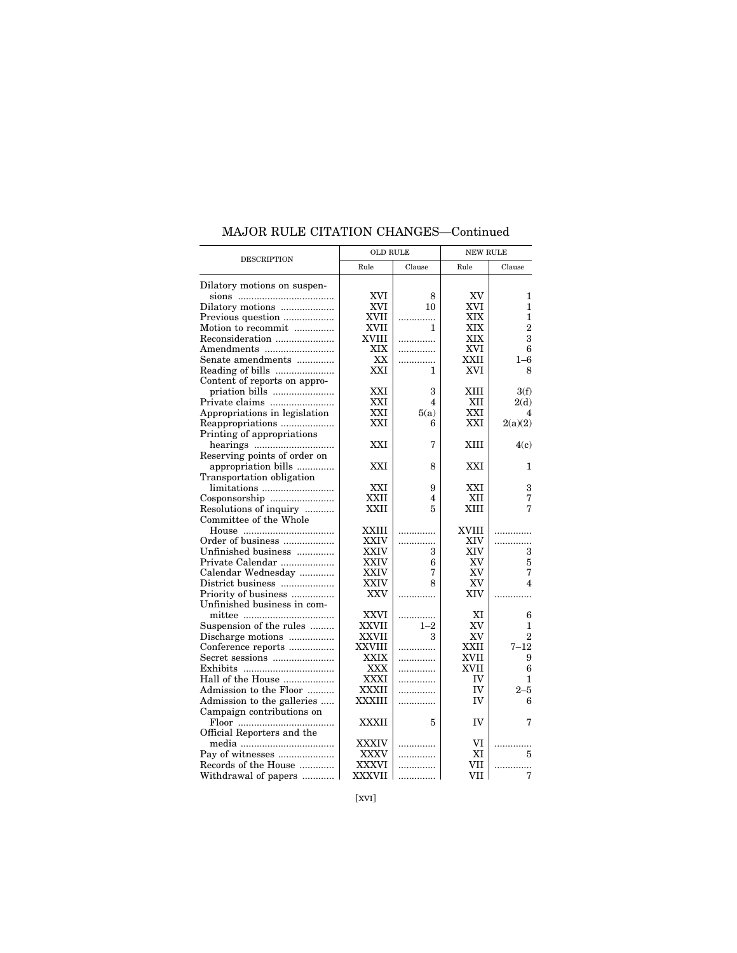|                               | <b>OLD RULE</b> |         | <b>NEW RULE</b> |                         |
|-------------------------------|-----------------|---------|-----------------|-------------------------|
| <b>DESCRIPTION</b>            | Rule            | Clause  | Rule            | Clause                  |
| Dilatory motions on suspen-   |                 |         |                 |                         |
|                               | XVI             | 8       | XV              | 1                       |
| Dilatory motions              | XVI             | 10      | XVI             | 1                       |
| Previous question             | XVII            | .       | XIX             | 1                       |
| Motion to recommit            | XVII            | 1       | XIX             | $\overline{2}$          |
| Reconsideration               | <b>XVIII</b>    |         | XIX             | 3                       |
| Amendments                    | XIX             | .       | XVI             | 6                       |
| Senate amendments             | XX              | .       | XXII            | $1 - 6$                 |
|                               | XXI             | 1       | XVI             | 8                       |
| Content of reports on appro-  |                 |         |                 |                         |
|                               | XXI             | 3       | XIII            | 3(f)                    |
| Private claims                | XXI             | 4       | XII             | 2(d)                    |
| Appropriations in legislation | XXI             | 5(a)    | XXI             | 4                       |
| Reappropriations              | XXI             | 6       | XXI             | 2(a)(2)                 |
| Printing of appropriations    |                 |         |                 |                         |
|                               | XXI             | 7       | <b>XIII</b>     | 4(c)                    |
| Reserving points of order on  |                 |         |                 |                         |
| appropriation bills           | <b>XXI</b>      | 8       | XXI             | 1                       |
| Transportation obligation     |                 |         |                 |                         |
|                               | XXI             |         | XXI             |                         |
|                               | XXII            | 9<br>4  | XII             | 3<br>7                  |
|                               | XXII            | 5       | XIII            | 7                       |
| Resolutions of inquiry        |                 |         |                 |                         |
| Committee of the Whole        |                 |         |                 |                         |
|                               | XXIII           | .       | XVIII           | .                       |
| Order of business             | XXIV            | .       | XIV             | .                       |
| Unfinished business           | XXIV            | 3       | XIV             | 3                       |
| Private Calendar              | XXIV            | 6       | XV              | 5                       |
| Calendar Wednesday            | XXIV            | 7       | XV              | 7                       |
| District business             | XXIV            | 8       | XV              | $\overline{\mathbf{4}}$ |
| Priority of business          | XXV             | .       | XIV             | .                       |
| Unfinished business in com-   |                 |         |                 |                         |
|                               | XXVI            | .       | XI              | 6                       |
| Suspension of the rules       | <b>XXVII</b>    | $1 - 2$ | XV              | 1                       |
| Discharge motions             | XXVII           | 3       | XV              | $\overline{2}$          |
| Conference reports            | XXVIII          | .       | XXII            | $7 - 12$                |
|                               | XXIX            | .       | XVII            | 9                       |
|                               | XXX             |         | XVII            | 6                       |
| Hall of the House             | XXXI            | .       | IV              | 1                       |
| Admission to the Floor        | XXXII           | .       | IV              | $2 - 5$                 |
| Admission to the galleries    | XXXIII          | .       | IV              | 6                       |
| Campaign contributions on     |                 |         |                 |                         |
|                               | XXXII           | 5       | IV              | 7                       |
| Official Reporters and the    |                 |         |                 |                         |
|                               | XXXIV           | .       | VI              |                         |
| Pay of witnesses              | XXXV            | .       | ΧI              | 5                       |
| Records of the House          | XXXVI           | .       | VII             | .                       |
| Withdrawal of papers          | XXXVII          | .       | VII             | 7                       |

## MAJOR RULE CITATION CHANGES—Continued

[XVI]